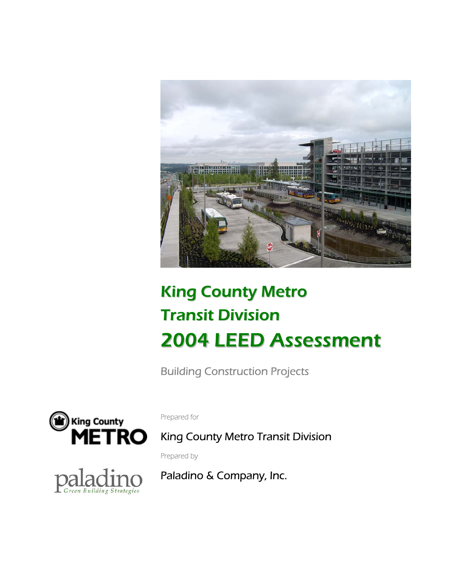

# King County Metro Transit Division 2004 LEED Assessment

Building Construction Projects



Prepared for

King County Metro Transit Division

Prepared by

Paladino & Company, Inc.

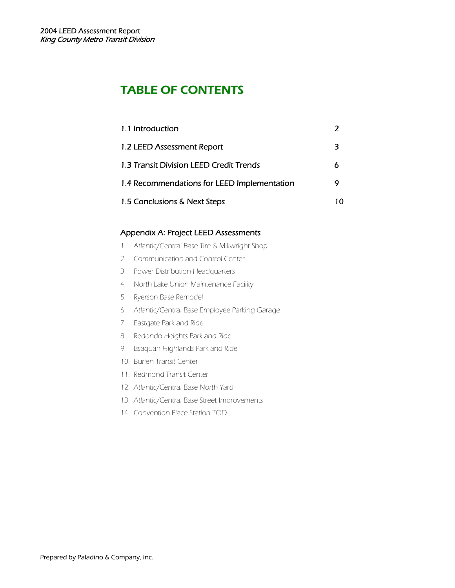# TABLE OF CONTENTS

| 1.1 Introduction                            |   |
|---------------------------------------------|---|
| 1.2 LEED Assessment Report                  | 3 |
| 1.3 Transit Division LEED Credit Trends     | 6 |
| 1.4 Recommendations for LEED Implementation | 9 |
| 1.5 Conclusions & Next Steps                |   |

# Appendix A: Project LEED Assessments

- 1. Atlantic/Central Base Tire & Millwright Shop
- 2. Communication and Control Center
- 3. Power Distribution Headquarters
- 4. North Lake Union Maintenance Facility
- 5. Ryerson Base Remodel
- 6. Atlantic/Central Base Employee Parking Garage
- 7. Eastgate Park and Ride
- 8. Redondo Heights Park and Ride
- 9. Issaquah Highlands Park and Ride
- 10. Burien Transit Center
- 11. Redmond Transit Center
- 12. Atlantic/Central Base North Yard
- 13. Atlantic/Central Base Street Improvements
- 14. Convention Place Station TOD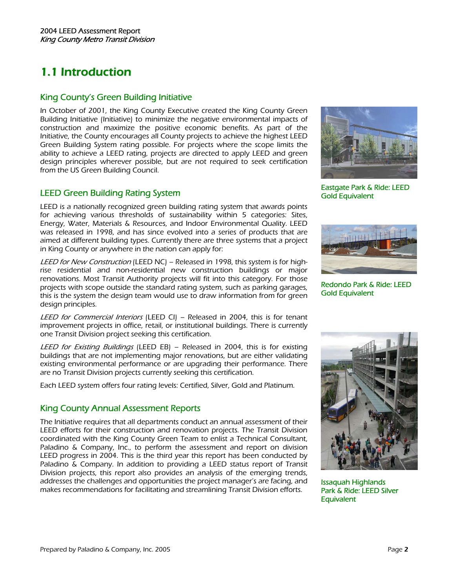# 1.1 Introduction

### King County's Green Building Initiative

In October of 2001, the King County Executive created the King County Green Building Initiative (Initiative) to minimize the negative environmental impacts of construction and maximize the positive economic benefits. As part of the Initiative, the County encourages all County projects to achieve the highest LEED Green Building System rating possible. For projects where the scope limits the ability to achieve a LEED rating, projects are directed to apply LEED and green design principles wherever possible, but are not required to seek certification from the US Green Building Council.

### LEED Green Building Rating System

LEED is a nationally recognized green building rating system that awards points for achieving various thresholds of sustainability within 5 categories: Sites, Energy, Water, Materials & Resources, and Indoor Environmental Quality. LEED was released in 1998, and has since evolved into a series of products that are aimed at different building types. Currently there are three systems that a project in King County or anywhere in the nation can apply for:

LEED for New Construction (LEED NC) – Released in 1998, this system is for highrise residential and non-residential new construction buildings or major renovations. Most Transit Authority projects will fit into this category. For those projects with scope outside the standard rating system, such as parking garages, this is the system the design team would use to draw information from for green design principles.

LEED for Commercial Interiors (LEED CI) – Released in 2004, this is for tenant improvement projects in office, retail, or institutional buildings. There is currently one Transit Division project seeking this certification.

LEED for Existing Buildings (LEED EB) - Released in 2004, this is for existing buildings that are not implementing major renovations, but are either validating existing environmental performance or are upgrading their performance. There are no Transit Division projects currently seeking this certification.

Each LEED system offers four rating levels: Certified, Silver, Gold and Platinum.

# King County Annual Assessment Reports

The Initiative requires that all departments conduct an annual assessment of their LEED efforts for their construction and renovation projects. The Transit Division coordinated with the King County Green Team to enlist a Technical Consultant, Paladino & Company, Inc., to perform the assessment and report on division LEED progress in 2004. This is the third year this report has been conducted by Paladino & Company. In addition to providing a LEED status report of Transit Division projects, this report also provides an analysis of the emerging trends, addresses the challenges and opportunities the project manager's are facing, and makes recommendations for facilitating and streamlining Transit Division efforts.



Eastgate Park & Ride: LEED Gold Equivalent



Redondo Park & Ride: LEED Gold Equivalent



Issaquah Highlands Park & Ride: LEED Silver **Equivalent**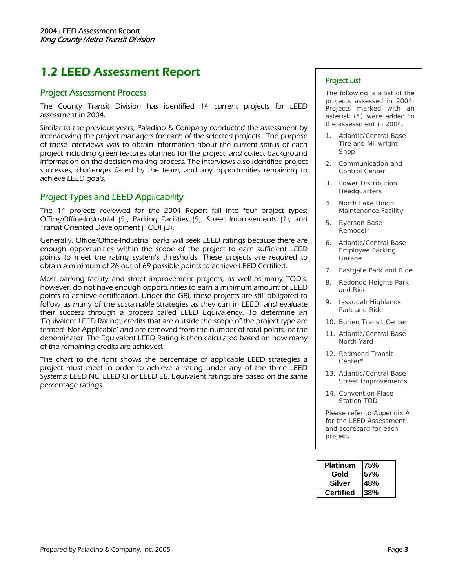# 1.2 LEED Assessment Report

#### Project Assessment Process

The County Transit Division has identified 14 current projects for LEED assessment in 2004.

Similar to the previous years, Paladino & Company conducted the assessment by interviewing the project managers for each of the selected projects. The purpose of these interviews was to obtain information about the current status of each project including green features planned for the project, and collect background information on the decision-making process. The interviews also identified project successes, challenges faced by the team, and any opportunities remaining to achieve LEED goals.

### Project Types and LEED Applicability

The 14 projects reviewed for the 2004 Report fall into four project types: Office/Office-Industrial (5); Parking Facilities (5); Street Improvements (1); and Transit Oriented Development (TOD) (3).

Generally, Office/Office-Industrial parks will seek LEED ratings because there are enough opportunities within the scope of the project to earn sufficient LEED points to meet the rating system's thresholds. These projects are required to obtain a minimum of 26 out of 69 possible points to achieve LEED Certified.

Most parking facility and street improvement projects, as well as many TOD's, however, do not have enough opportunities to earn a minimum amount of LEED points to achieve certification. Under the GBI, these projects are still obligated to follow as many of the sustainable strategies as they can in LEED, and evaluate their success through a process called LEED Equivalency. To determine an 'Equivalent LEED Rating', credits that are outside the scope of the project type are termed 'Not Applicable' and are removed from the number of total points, or the denominator. The Equivalent LEED Rating is then calculated based on how many of the remaining credits are achieved.

The chart to the right shows the percentage of applicable LEED strategies a project must meet in order to achieve a rating under any of the three LEED Systems: LEED NC, LEED CI or LEED EB. Equivalent ratings are based on the same percentage ratings.

#### Project List

The following is a list of the projects assessed in 2004. Projects marked with an asterisk (\*) were added to the assessment in 2004.

- 1. Atlantic/Central Base Tire and Millwright Shop
- 2. Communication and Control Center
- 3. Power Distribution Headquarters
- 4. North Lake Union Maintenance Facility
- 5. Ryerson Base Remodel\*
- 6. Atlantic/Central Base Employee Parking Garage
- Eastgate Park and Ride
- 8. Redondo Heights Park and Ride
- 9. Issaquah Highlands Park and Ride
- 10. Burien Transit Center
- 11. Atlantic/Central Base North Yard
- 12. Redmond Transit Center\*
- 13. Atlantic/Central Base Street Improvements
- 14. Convention Place Station TOD

Please refer to Appendix A for the LEED Assessment and scorecard for each project.

| <b>Platinum</b>  | 175% |
|------------------|------|
| Gold             | 157% |
| Silver           | 48%  |
| <b>Certified</b> | l38% |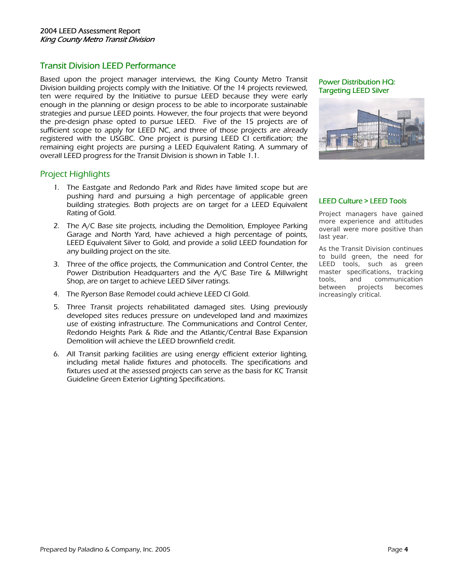### Transit Division LEED Performance

Based upon the project manager interviews, the King County Metro Transit Division building projects comply with the Initiative. Of the 14 projects reviewed, ten were required by the Initiative to pursue LEED because they were early enough in the planning or design process to be able to incorporate sustainable strategies and pursue LEED points. However, the four projects that were beyond the pre-design phase opted to pursue LEED. Five of the 15 projects are of sufficient scope to apply for LEED NC, and three of those projects are already registered with the USGBC. One project is pursing LEED CI certification; the remaining eight projects are pursing a LEED Equivalent Rating. A summary of overall LEED progress for the Transit Division is shown in Table 1.1.

### Project Highlights

- 1. The Eastgate and Redondo Park and Rides have limited scope but are pushing hard and pursuing a high percentage of applicable green building strategies. Both projects are on target for a LEED Equivalent Rating of Gold.
- 2. The A/C Base site projects, including the Demolition, Employee Parking Garage and North Yard, have achieved a high percentage of points, LEED Equivalent Silver to Gold, and provide a solid LEED foundation for any building project on the site.
- 3. Three of the office projects, the Communication and Control Center, the Power Distribution Headquarters and the A/C Base Tire & Millwright Shop, are on target to achieve LEED Silver ratings.
- 4. The Ryerson Base Remodel could achieve LEED CI Gold.
- 5. Three Transit projects rehabilitated damaged sites. Using previously developed sites reduces pressure on undeveloped land and maximizes use of existing infrastructure. The Communications and Control Center, Redondo Heights Park & Ride and the Atlantic/Central Base Expansion Demolition will achieve the LEED brownfield credit.
- 6. All Transit parking facilities are using energy efficient exterior lighting, including metal halide fixtures and photocells. The specifications and fixtures used at the assessed projects can serve as the basis for KC Transit Guideline Green Exterior Lighting Specifications.

#### Power Distribution HQ: Targeting LEED Silver



#### LEED Culture > LEED Tools

Project managers have gained more experience and attitudes overall were more positive than last year.

As the Transit Division continues to build green, the need for LEED tools, such as green master specifications, tracking tools, and communication between projects becomes increasingly critical.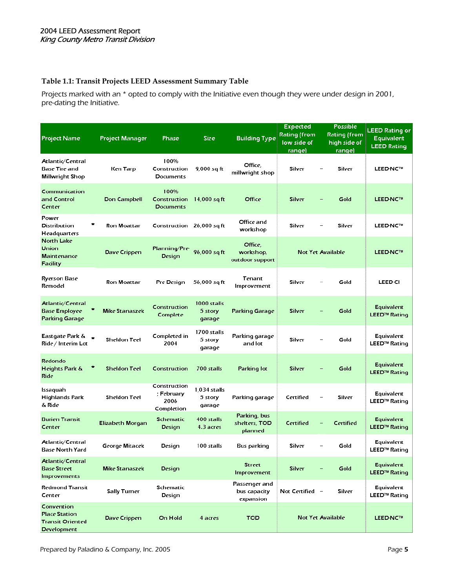# **Table 1.1: Transit Projects LEED Assessment Summary Table**

Projects marked with an \* opted to comply with the Initiative even though they were under design in 2001, pre-dating the Initiative.

| <b>Project Name</b>                                                          | <b>Project Manager</b> | Phase                                            | <b>Size</b>                                | <b>Building Type</b>                       | <b>Expected</b><br><b>Rating (from</b><br>low side of<br><b>range)</b> | <b>Possible</b><br><b>Rating (from</b><br>high side of<br>range) | <b>LEED Rating or</b><br><b>Equivalent</b><br><b>LEED Rating</b> |
|------------------------------------------------------------------------------|------------------------|--------------------------------------------------|--------------------------------------------|--------------------------------------------|------------------------------------------------------------------------|------------------------------------------------------------------|------------------------------------------------------------------|
| Atlantic/Central<br>Base Tire and<br>Millwright Shop                         | Ken Tarp               | 100%<br>Construction<br>Documents                | 9,000 sq ft                                | Office,<br>millwright shop                 | Silver                                                                 | Silver                                                           | <b>LEED-NC7M</b>                                                 |
| Communication<br>and Control<br>Center                                       | Don Campbell           | 100%<br>Construction<br>Documents                | 14,000 sq ft                               | Office                                     | Silver                                                                 | Gold                                                             | LEED-NC7M                                                        |
| Power<br><b>Distribution</b><br>Headquarters                                 | Ron Moattar            | Construction 26,000 sq ft                        |                                            | Office and<br>workshop                     | Silver                                                                 | Silver                                                           | <b>LEED-NC7M</b>                                                 |
| <b>North Lake</b><br>Union<br>Maintenance<br>Facility                        | Dave Crippen           | Planning/Pre-<br>Design                          | 96,000 sq ft                               | Office,<br>workshop,<br>out door support   |                                                                        | Not Yet Available                                                | LEED-NC7M                                                        |
| Ryerson Base<br>Remodel                                                      | <b>Ron Moattar</b>     | Pre Design                                       | 56,000 sq ft                               | <b>Tenant</b><br>Improvement               | Silver                                                                 | Gold                                                             | LEED-CI                                                          |
| Atlantic/Central<br><b>Base Employee</b><br>Parking Garage                   | <b>Mike Stanaszek</b>  | Construction<br>Complete                         | 1000 stalls<br>5 <sub>stop</sub><br>garage | Parking Garage                             | Silver                                                                 | Gold                                                             | <b>E</b> quivalent<br><b>LEED<sup>7M</sup> Rating</b>            |
| Eastgate Park &<br>Ride / Interim Lot                                        | Sheldon Teel           | Completed in<br>2004                             | 1700 stalls<br>$5st$ ory<br>garage         | Parking garage<br>and lot l                | Silver                                                                 | Gold                                                             | Equivalent<br>LEED <sup>7M</sup> Rating                          |
| Redondo<br>Heights Park &<br>Ride                                            | <b>Sheldon Teel</b>    | Construction                                     | 700 stalls                                 | Parking lot                                | Silver                                                                 | Gold                                                             | Equivalent<br><b>LEED<sup>™</sup> Rating</b>                     |
| Issaquah<br>Highlands Park<br>& Ride                                         | Sheldon Teel           | Construction<br>; February<br>2006<br>Completion | 1,034 stalls<br>5 <sub>st</sub><br>garage  | Parking garage                             | Certified                                                              | Silver                                                           | Equivalent<br>LEED <sup>7M</sup> Rating                          |
| <b>Burien Transit</b><br>Center                                              | Elizabeth Morgan       | <b>Schematic</b><br>Design                       | 400 stalls<br>4.3 acres                    | Parking, bus<br>shelters, TOD<br>planned   | Certified                                                              | Certified                                                        | <b>Equivalent</b><br><b>LEED<sup>7M</sup> Rating</b>             |
| Atlantic/Central<br><b>Base North Yard</b>                                   | George Mitacek         | Design                                           | 100 stalls                                 | Bus parking                                | Silver                                                                 | Gold                                                             | <b>Equivalent</b><br>LEED™ Rating                                |
| Atlantic/Central<br><b>Base Street</b><br>Improvements                       | Mike Stanaszek         | Design                                           |                                            | <b>Street</b><br>Improvement               | Silver                                                                 | Gold                                                             | Equivalent<br><b>LEED<sup>7M</sup> Rating</b>                    |
| <b>Redmond Transit</b><br>Center                                             | Sally Turner           | Schematic<br>Design                              |                                            | Passenger and<br>bus capacity<br>expansion | Not Certified -                                                        | Silver                                                           | <b>Equivalent</b><br>LEED <sup>7M</sup> Rating                   |
| Convention<br><b>Place Station</b><br><b>Transit Oriented</b><br>Development | Dave Crippen           | On Hold                                          | 4 acres                                    | <b>TOD</b>                                 |                                                                        | Not Yet Available                                                | LEED-NC7M                                                        |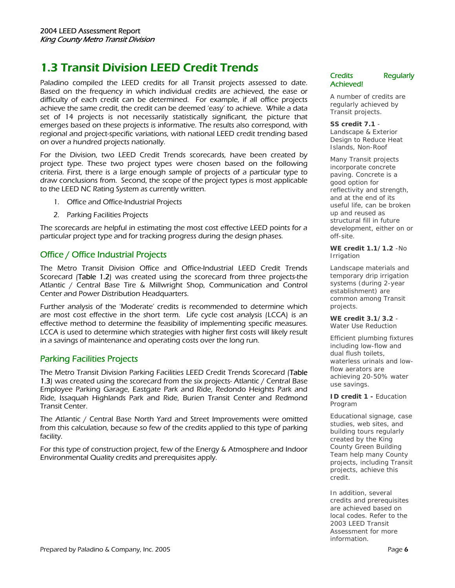# 1.3 Transit Division LEED Credit Trends

Paladino compiled the LEED credits for all Transit projects assessed to date. Based on the frequency in which individual credits are achieved, the ease or difficulty of each credit can be determined. For example, if all office projects achieve the same credit, the credit can be deemed 'easy' to achieve. While a data set of 14 projects is not necessarily statistically significant, the picture that emerges based on these projects is informative. The results also correspond, with regional and project-specific variations, with national LEED credit trending based on over a hundred projects nationally.

For the Division, two LEED Credit Trends scorecards, have been created by project type. These two project types were chosen based on the following criteria. First, there is a large enough sample of projects of a particular type to draw conclusions from. Second, the scope of the project types is most applicable to the LEED NC Rating System as currently written.

- 1. Office and Office-Industrial Projects
- 2. Parking Facilities Projects

The scorecards are helpful in estimating the most cost effective LEED points for a particular project type and for tracking progress during the design phases.

#### Office / Office Industrial Projects

The Metro Transit Division Office and Office-Industrial LEED Credit Trends Scorecard (Table 1.2) was created using the scorecard from three projects-the Atlantic / Central Base Tire & Millwright Shop, Communication and Control Center and Power Distribution Headquarters.

Further analysis of the 'Moderate' credits is recommended to determine which are most cost effective in the short term. Life cycle cost analysis (LCCA) is an effective method to determine the feasibility of implementing specific measures. LCCA is used to determine which strategies with higher first costs will likely result in a savings of maintenance and operating costs over the long run.

### Parking Facilities Projects

The Metro Transit Division Parking Facilities LEED Credit Trends Scorecard (Table 1.3) was created using the scorecard from the six projects- Atlantic / Central Base Employee Parking Garage, Eastgate Park and Ride, Redondo Heights Park and Ride, Issaquah Highlands Park and Ride, Burien Transit Center and Redmond Transit Center.

The Atlantic / Central Base North Yard and Street Improvements were omitted from this calculation, because so few of the credits applied to this type of parking facility.

For this type of construction project, few of the Energy & Atmosphere and Indoor Environmental Quality credits and prerequisites apply.

Credits Regularly Achieved!

A number of credits are regularly achieved by Transit projects.

**SS credit 7.1** - Landscape & Exterior Design to Reduce Heat Islands, Non-Roof

Many Transit projects incorporate concrete paving. Concrete is a good option for reflectivity and strength, and at the end of its useful life, can be broken up and reused as structural fill in future development, either on or off-site.

**WE credit 1.1/1.2** -No Irrigation

Landscape materials and temporary drip irrigation systems (during 2-year establishment) are common among Transit projects.

**WE credit 3.1/3.2** - Water Use Reduction

Efficient plumbing fixtures including low-flow and dual flush toilets, waterless urinals and lowflow aerators are achieving 20-50% water use savings.

**ID credit 1 -** Education Program

Educational signage, case studies, web sites, and building tours regularly created by the King County Green Building Team help many County projects, including Transit projects, achieve this credit.

In addition, several credits and prerequisites are achieved based on local codes. Refer to the 2003 LEED Transit Assessment for more information.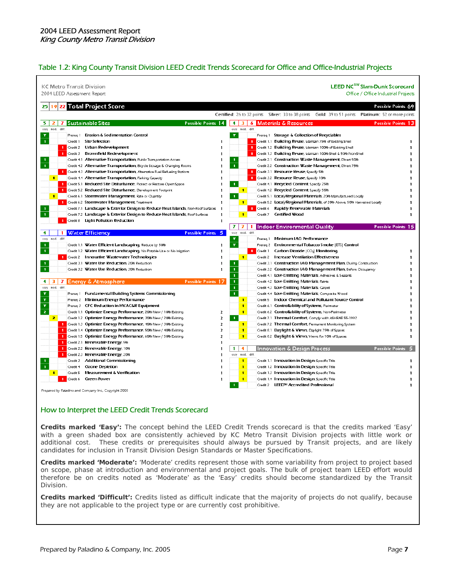#### Table 1.2: King County Transit Division LEED Credit Trends Scorecard for Office and Office-Industrial Projects

| <b>KC Metro Transit Division</b><br>2004 LEED Assessment Report |                                                                                        |                                                                                                      | LEED NC™ Slam-Dunk Scorecard<br>Office / Office Industrial Projects |
|-----------------------------------------------------------------|----------------------------------------------------------------------------------------|------------------------------------------------------------------------------------------------------|---------------------------------------------------------------------|
| 25                                                              | 19 22 Total Project Score                                                              |                                                                                                      | Possible Points 69                                                  |
|                                                                 |                                                                                        | Certified: 26 to 32 points Silver: 33 to 38 points Gold: 39 to 51 points Platinum: 52 or more points |                                                                     |
| 5.<br>2<br>7                                                    | <b>Sustainable Sites</b><br>Possible Points 14                                         | 4 3 6 Materials & Resources                                                                          | Possible Points 13                                                  |
| mod. diff.<br>easu<br>Y                                         | Prereq 1 Erosion & Sedimentation Control                                               | easy mod. diff.<br>Prereg 1 Storage & Collection of Recyclables<br>Y                                 |                                                                     |
| $\mathbf{1}$<br>Credit 1                                        | <b>Site Selection</b><br>ı                                                             | 1 Credit 1.1 Building Reuse, Maintain 75% of Existing Shell                                          |                                                                     |
|                                                                 | 1 Credit 2 Urban Redevelopment<br>ı                                                    | Credit 1.2 Building Reuse, Maintain 100% of Existing Shell<br>-1                                     |                                                                     |
| Credit 3                                                        | <b>Brownfield Redevelopment</b><br>п                                                   | Credit 1.3 Building Reuse, Maintain 100% Shell & 50% Non-Shell                                       |                                                                     |
| л.                                                              | Credit 4.1 Alternative Transportation, Public Transportation Access                    | Credit 2.1 Construction Waste Management, Divert 50%<br>п.                                           |                                                                     |
| $\overline{\mathbf{1}}$                                         | Credit 4.2 Alternative Transportation, Bicycle Storage & Changing Rooms                | $\mathbf{I}$<br>Credit 2.2 Construction Waste Management, Divert 75%                                 |                                                                     |
|                                                                 | 1 Credit 4.3 Alternative Transportation, Alternative Fuel Refueling Stations           | 1 Credit 3.1 Resource Reuse, Specify 5%                                                              |                                                                     |
| $\blacksquare$                                                  | Credit 4.4 Alternative Transportation, Parking Capacity                                | Credit 3.2 Resource Reuse, Specify 10%                                                               |                                                                     |
| п                                                               | Credit 5.1 Reduced Site Disturbance, Protect or Restore Open Space                     | T.<br>Credit 4.1 Recycled Content, Specify 25%                                                       |                                                                     |
| п                                                               | Credit 5.2 Reduced Site Disturbance, Development Footprint                             | $\blacksquare$<br>Credit 4.2 Recycled Content, Specify 50%                                           |                                                                     |
| $\blacksquare$                                                  | Credit 6.1 Stormwater Management, Rate or Quantity                                     | T<br>Credit 5.1 Local/Regional Materials, 20% Manufactured Locally                                   |                                                                     |
|                                                                 | 1 Credit 6.2 Stormwater Management, Treatment<br>ı                                     | $\blacksquare$<br>Credit 5.2 Local/Regional Materials, of 20% Above, 50% Harvested Locally           |                                                                     |
| $\mathbf{1}$                                                    | Credit 7.1 Landscape & Exterior Design to Reduce Heat Islands, Non-Roof Surfaces<br>J. | Rapidly Renewable Materials<br>Credit 6                                                              |                                                                     |
| Î                                                               | Credit 7.2 Landscape & Exterior Design to Reduce Heat Islands, Roof Surfaces<br>ı      | Certified Wood<br>$\blacksquare$<br>Credit 7                                                         |                                                                     |
|                                                                 | Credit 8 Light Pollution Reduction<br>ı                                                |                                                                                                      |                                                                     |
|                                                                 |                                                                                        | 71<br>-71<br>1.<br>  Indoor Environmental Quality                                                    | Possible Points 15                                                  |
| 4<br>-1                                                         | <b>Water Efficiency</b><br>Possible Points 5                                           | mod.<br>diff.<br>easy                                                                                |                                                                     |
| mod. diff.<br>easu                                              |                                                                                        | Y<br>Minimum IAO Performance<br>Prereg 1                                                             |                                                                     |
| $\mathbf{1}$                                                    | Credit 1.1 Water Efficient Landscaping, Reduce by 50%<br>ı                             | Y<br>Environmental Tobacco Smoke [ETS] Control<br>Prereg 2                                           |                                                                     |
| $\mathbf{1}$                                                    | Credit 1.2 Water Efficient Landscaping, No Potable Use or No Irrigation<br>ı           | <b>1</b> Credit 1<br>Carbon Dioxide   CO <sub>2</sub>   Monitoring                                   |                                                                     |
|                                                                 | 1 Credit 2 Innovative Wastewater Technologies<br>п                                     | $\blacksquare$<br>Credit 2 Increase Ventilation Effectiveness                                        |                                                                     |
| $\mathbf{1}$                                                    | Credit 3.1 Water Use Reduction, 20% Reduction                                          | Credit 3.1 Construction IAO Management Plan, During Construction<br>$\mathbf{I}$                     |                                                                     |
| $\overline{\mathbf{1}}$                                         | Credit 3.2 Water Use Reduction, 30% Reduction                                          | T.<br>Credit 3.2 Construction IAO Management Plan, Before Occupancy                                  |                                                                     |
|                                                                 |                                                                                        | $\mathbf{1}$<br>Credit 4.1 Low-Emitting Materials, Adhesives & Sealants                              |                                                                     |
| 3.<br>4.                                                        | 7 Energy & Atmosphere<br><b>Possible Points 17</b>                                     | $\mathbf{1}$<br>Credit 4.2 Low-Emitting Materials, Paints                                            |                                                                     |
| mod. diff.<br>casu                                              |                                                                                        | $\mathbf{1}$<br>Credit 4.3 Low-Emitting Materials, Carpet                                            |                                                                     |
| Y                                                               | Prereq 1 Fundamental Building Systems Commissioning                                    | $\mathbf{1}$<br>Credit 4.4 Low-Emitting Materials, Composite Wood                                    |                                                                     |
| Ÿ                                                               | Prereq 2 Minimum Energy Performance                                                    | $\blacksquare$<br>Credit 5 Indoor Chemical and Pollutant Source Control                              |                                                                     |
| Y                                                               | Prereq 3 CFC Reduction in HVAC&R Equipment                                             | $\blacksquare$<br>Credit 6.1 Controllability of Systems, Perimeter                                   |                                                                     |
| $\mathbf{z}$                                                    | Credit 1.1 Optimize Energy Performance, 20% New / 10% Existing<br>2                    | T.<br>Credit 6.2 Controllability of Systems, Non-Perimeter                                           |                                                                     |
| $\mathbf{z}$                                                    | Credit 1.2 Optimize Energy Performance, 30% New / 20% Existing<br>2                    | Credit 7.1 Thermal Comfort, Comply with ASHRAE 55-1992<br>$\blacksquare$                             |                                                                     |
|                                                                 | 1 Credit 1.3 Optimize Energy Performance, 40% New / 30% Existing<br>$\overline{z}$     | Credit 7.2 Thermal Comfort, Permanent Monitoring System<br>п                                         |                                                                     |
| п                                                               | Credit 1.4 Optimize Energy Performance, 50% New / 40% Existing<br>2                    | $\blacksquare$<br>Credit 8.1 Daylight & Views, Daylight 75% of Spaces                                |                                                                     |
|                                                                 | 1 Credit 1.5 Optimize Energy Performance, 60% New / 50% Existing<br>2                  | $\blacksquare$<br>Credit 8.2 Daylight & Views, Views for 90% of Spaces                               |                                                                     |
| 1                                                               | Credit 2.1 Renewable Energy, 5%<br>п                                                   |                                                                                                      |                                                                     |
| ٠                                                               | Credit 2.2 Renewable Energy, 10%                                                       | 1<br>4<br><b>Innovation &amp; Design Process</b>                                                     | Possible Points 5                                                   |
| л.                                                              | Credit 2.3 Renewable Energy, 20%                                                       | mod. diff.<br>casu                                                                                   |                                                                     |
| 1.                                                              | Credit 3 Additional Commissioning<br>п                                                 | Credit 1.1 Innovation in Design: Specific Title<br>$\blacksquare$                                    |                                                                     |
| ×<br>Credit 4                                                   | <b>Ozone Depletion</b><br>ı                                                            | Credit 1.2 Innovation in Design: Specific Title<br>$\blacksquare$                                    |                                                                     |
| T<br>Credit 5                                                   | <b>Measurement &amp; Verification</b><br>ı                                             | $\blacksquare$<br>Credit 1.3 Innovation in Design: Specific Title                                    |                                                                     |
| п<br>Credit 6                                                   | Green Power<br>I.                                                                      | $\blacksquare$<br>Credit 1.4 Innovation in Design: Specific Title                                    |                                                                     |
|                                                                 |                                                                                        | Credit 2 LEED <sup>™</sup> Accredited Professional                                                   | ı                                                                   |

#### How to Interpret the LEED Credit Trends Scorecard

**Credits marked 'Easy':** The concept behind the LEED Credit Trends scorecard is that the credits marked 'Easy' with a green shaded box are consistently achieved by KC Metro Transit Division projects with little work or additional cost. These credits or prerequisites should always be pursued by Transit projects, and are likely candidates for inclusion in Transit Division Design Standards or Master Specifications.

**Credits marked 'Moderate':** 'Moderate' credits represent those with some variability from project to project based on scope, phase at introduction and environmental and project goals. The bulk of project team LEED effort would therefore be on credits noted as 'Moderate' as the 'Easy' credits should become standardized by the Transit Division.

**Credits marked 'Difficult':** Credits listed as difficult indicate that the majority of projects do not qualify, because they are not applicable to the project type or are currently cost prohibitive.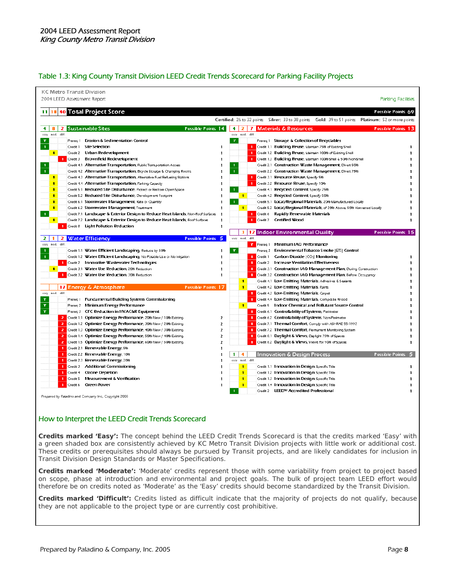#### Table 1.3: King County Transit Division LEED Credit Trends Scorecard for Parking Facility Projects

| 2004 LEED Assessment Report                                                               | Parking Facilities                                                                                                            |
|-------------------------------------------------------------------------------------------|-------------------------------------------------------------------------------------------------------------------------------|
| 40 Total Project Score<br>11<br>18                                                        | Possible Points 69                                                                                                            |
|                                                                                           | Certified: 26 to 32 points Silver: 33 to 38 points Gold: 39 to 51 points Platinum: 52 or more points                          |
| <b>Sustainable Sites</b><br><b>Possible Points 14</b><br>8<br>4<br>2                      | 4<br><b>Materials &amp; Resources</b><br>Possible Points 13<br>$\overline{\mathbf{z}}$<br>7                                   |
| mod. diff.<br>easy                                                                        | easy mod. diff.                                                                                                               |
| Prereg 1 Erosion & Sedimentation Control<br>Y                                             | Y<br>Prereq 1 Storage & Collection of Recyclables                                                                             |
| $\mathbf{1}$<br><b>Site Selection</b><br>Credit 1                                         | 1 Credit 1.1 Building Reuse, Maintain 75% of Existing Shell<br>п                                                              |
| Credit 2 Urban Redevelopment<br>$\blacksquare$                                            | Credit 1.2 Building Reuse, Maintain 100% of Existing Shell<br>п<br>-1.                                                        |
| 1 Credit 3 Brownfield Redevelopment                                                       | Credit 1.3 Building Reuse, Maintain 100% Shell & 50% Non-Shell<br>п                                                           |
| Credit 4.1 Alternative Transportation, Public Transportation Access                       | Credit 2.1 Construction Waste Management, Divert 50%<br>-1                                                                    |
| $\blacksquare$<br>Credit 4.2 Alternative Transportation, Bicycle Storage & Changing Rooms | $\mathbf 1$<br>Credit 2.2 Construction Waste Management, Divert 75%                                                           |
| Credit 4.3 Alternative Transportation, Alternative Fuel Refueling Stations<br>п           | $\mathbf{1}$<br>Credit 3.1 Resource Reuse, Specify 5%                                                                         |
| Credit 4.4 Alternative Transportation, Parking Capacity<br>п                              | Credit 3.2 Resource Reuse, Specify 10%<br>1                                                                                   |
| Credit 5.1 Reduced Site Disturbance, Protect or Restore Open Space<br>$\blacksquare$      | Credit 4.1 Recycled Content, Specify 25%                                                                                      |
| Credit 5.2 Reduced Site Disturbance, Development Footprint<br>п                           | $\blacksquare$<br>Credit 4.2 Recycled Content, Specify 50%<br>ı                                                               |
| Credit 6.1 Stormwater Management, Rate or Quantity<br>п                                   | $\mathbf{1}$<br>Credit 5.1 Local/Regional Materials, 20% Manufactured Locally<br>п                                            |
| Credit 6.2 Stormwater Management, Treatment<br>п                                          | Credit 5.2 Local/Regional Materials, of 20% Above, 50% Harvested Locally<br>J.<br>$\blacksquare$                              |
| -11<br>Credit 7.1 Landscape & Exterior Design to Reduce Heat Islands, Non-Roof Surfaces   | Credit 6<br>Rapidly Renewable Materials<br>ı.<br>-1.                                                                          |
| Credit 7.2 Landscape & Exterior Design to Reduce Heat Islands, Roof Surfaces<br>T         | J.<br>Credit 7<br>Certified Wood                                                                                              |
| Credit 8 Light Pollution Reduction<br>п.                                                  | J.                                                                                                                            |
|                                                                                           | Possible Points 15<br>з<br>12 Indoor Environmental Quality                                                                    |
| <b>Water Efficiency</b><br>Possible Points 5<br>-1<br>2<br>21                             | easy mod.<br>diff.                                                                                                            |
| mod. diff.<br>easu                                                                        | <b>Y</b> Prereq 1<br>Minimum IAO Performance                                                                                  |
| Credit 1.1 Water Efficient Landscaping, Reduce by 50%                                     | Y<br>Environmental Tobacco Smoke [ETS] Control<br>Prereg 2<br>ı                                                               |
| $\mathbf{I}$<br>Credit 1.2 Water Efficient Landscaping, No Potable Use or No Irrigation   | Credit 1<br>Carbon Dioxide   CO <sub>2</sub>   Monitoring<br>ı.<br>п                                                          |
| 1 Credit 2 Innovative Wastewater Technologies                                             | ٠<br>Credit 2 Increase Ventilation Effectiveness<br>п                                                                         |
| Credit 3.1 Water Use Reduction, 20% Reduction<br>$\blacksquare$                           | 1 Credit 3.1 Construction IAO Management Plan, During Construction<br>п                                                       |
| 1 Credit 3.2 Water Use Reduction, 30% Reduction                                           | 1 Credit 3.2 Construction IAO Management Plan, Before Occupancy<br>L                                                          |
|                                                                                           | Credit 4.1 Low-Emitting Materials, Adhesives & Sealants<br>$\blacksquare$                                                     |
| 17 Energy & Atmosphere<br><b>Possible Points 17</b>                                       | $\blacksquare$<br>Credit 4.2 Low-Emitting Materials, Paints                                                                   |
| easy mod. diff.                                                                           | 1 Credit 4.3 Low-Emitting Materials, Carpet                                                                                   |
| Y.<br>Prereq 1 Fundamental Building Systems Commissioning                                 | 1 Credit 4.4 LOW-Emitting Materials, Composite Wood                                                                           |
| Y.<br>Prereq 2 Minimum Energy Performance                                                 | Credit 5 Indoor Chemical and Pollutant Source Control<br>$\blacksquare$                                                       |
| Y<br>Prereq 3 CFC Reduction in HVAC&R Equipment                                           | 1 Credit 6.1 Controllability of Systems, Perimeter                                                                            |
| 2 Credit 1.1 Optimize Energy Performance, 20% New / 10% Existing                          | <b>1</b> Credit 6.2 <b>Controllability of Systems</b> , Non-Perimeter<br>2                                                    |
| Credit 1.2 Optimize Energy Performance, 30% New / 20% Existing<br>2                       | 2<br>1 Credit 7.1 Thermal Comfort, Comply with ASHRAE 55-1992                                                                 |
| 2 Credit 1.3 Optimize Energy Performance, 40% New / 30% Existing                          | <b>1 Credit 7.2 Thermal Comfort</b> , Permanent Monitoring System<br>2                                                        |
| Credit 1.4 Optimize Energy Performance, 50% New / 40% Existing<br>2                       | 1 Credit 8.1 Daylight & Views, Daylight 75% of Spaces<br>2                                                                    |
| 2 Credit 1.5 Optimize Energy Performance, 60% New / 50% Existing                          | $\overline{z}$<br>Credit 8.2 Daylight & Views, Views for 90% of Spaces                                                        |
| 1 Credit 2.1 Renewable Energy, 5%                                                         | ı.                                                                                                                            |
| Credit 2.2 Renewable Energy, 10%<br>л.                                                    | 4<br>1<br>Innovation & Design Process<br>Possible Points<br>-5                                                                |
| Credit 2.3 Renewable Energy, 20%<br>л.                                                    | mod. diff.<br><b>USDS</b>                                                                                                     |
| 1 Credit 3 Additional Commissioning                                                       | $\blacksquare$<br>Credit 1.1 Innovation in Design: Specific Title<br>п                                                        |
| <b>1</b> Credit 4<br><b>Ozone Depletion</b>                                               | J.<br>$\blacksquare$<br>Credit 1.2 Innovation in Design: Specific Title                                                       |
| <b>Measurement &amp; Verification</b><br>л.<br>Credit 5                                   | Credit 1.3 Innovation in Design: Specific Title<br>ı.<br>$\mathbf{1}$                                                         |
|                                                                                           |                                                                                                                               |
| Credit 6<br><b>Green Power</b>                                                            | ı.<br>Credit 1.4 Innovation in Design: Specific Title<br>$\blacksquare$<br>Credit 2 LEED <sup>™</sup> Accredited Professional |

#### How to Interpret the LEED Credit Trends Scorecard

**Credits marked 'Easy':** The concept behind the LEED Credit Trends Scorecard is that the credits marked 'Easy' with a green shaded box are consistently achieved by KC Metro Transit Division projects with little work or additional cost. These credits or prerequisites should always be pursued by Transit projects, and are likely candidates for inclusion in Transit Division Design Standards or Master Specifications.

**Credits marked 'Moderate':** 'Moderate' credits represent those with some variability from project to project based on scope, phase at introduction and environmental and project goals. The bulk of project team LEED effort would therefore be on credits noted as 'Moderate' as the 'Easy' credits should become standardized by the Transit Division.

**Credits marked 'Difficult':** Credits listed as difficult indicate that the majority of projects do not qualify, because they are not applicable to the project type or are currently cost prohibitive.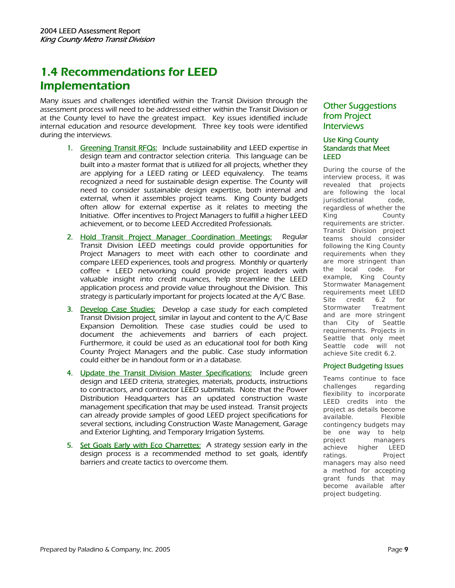# 1.4 Recommendations for LEED Implementation

Many issues and challenges identified within the Transit Division through the assessment process will need to be addressed either within the Transit Division or at the County level to have the greatest impact. Key issues identified include internal education and resource development. Three key tools were identified during the interviews.

- 1. Greening Transit RFQs: Include sustainability and LEED expertise in design team and contractor selection criteria. This language can be built into a master format that is utilized for all projects, whether they are applying for a LEED rating or LEED equivalency. The teams recognized a need for sustainable design expertise. The County will need to consider sustainable design expertise, both internal and external, when it assembles project teams. King County budgets often allow for external expertise as it relates to meeting the Initiative. Offer incentives to Project Managers to fulfill a higher LEED achievement, or to become LEED Accredited Professionals.
- 2. Hold Transit Project Manager Coordination Meetings: Regular Transit Division LEED meetings could provide opportunities for Project Managers to meet with each other to coordinate and compare LEED experiences, tools and progress. Monthly or quarterly coffee + LEED networking could provide project leaders with valuable insight into credit nuances, help streamline the LEED application process and provide value throughout the Division. This strategy is particularly important for projects located at the A/C Base.
- 3. Develop Case Studies: Develop a case study for each completed Transit Division project, similar in layout and content to the A/C Base Expansion Demolition. These case studies could be used to document the achievements and barriers of each project. Furthermore, it could be used as an educational tool for both King County Project Managers and the public. Case study information could either be in handout form or in a database.
- 4. Update the Transit Division Master Specifications: Include green design and LEED criteria, strategies, materials, products, instructions to contractors, and contractor LEED submittals. Note that the Power Distribution Headquarters has an updated construction waste management specification that may be used instead. Transit projects can already provide samples of good LEED project specifications for several sections, including Construction Waste Management, Garage and Exterior Lighting, and Temporary Irrigation Systems.
- 5. Set Goals Early with Eco Charrettes: A strategy session early in the design process is a recommended method to set goals, identify barriers and create tactics to overcome them.

### Other Suggestions from Project **Interviews**

#### Use King County Standards that Meet LEED

During the course of the interview process, it was revealed that projects are following the local jurisdictional code, regardless of whether the King County requirements are stricter. Transit Division project teams should consider following the King County requirements when they are more stringent than the local code. For example, King County Stormwater Management requirements meet LEED Site credit 6.2 for Stormwater Treatment and are more stringent than City of Seattle requirements. Projects in Seattle that only meet Seattle code will not achieve Site credit 6.2.

#### Project Budgeting Issues

Teams continue to face challenges regarding flexibility to incorporate LEED credits into the project as details become available. Flexible contingency budgets may be one way to help project managers achieve higher LEED ratings. Project managers may also need a method for accepting grant funds that may become available after project budgeting.